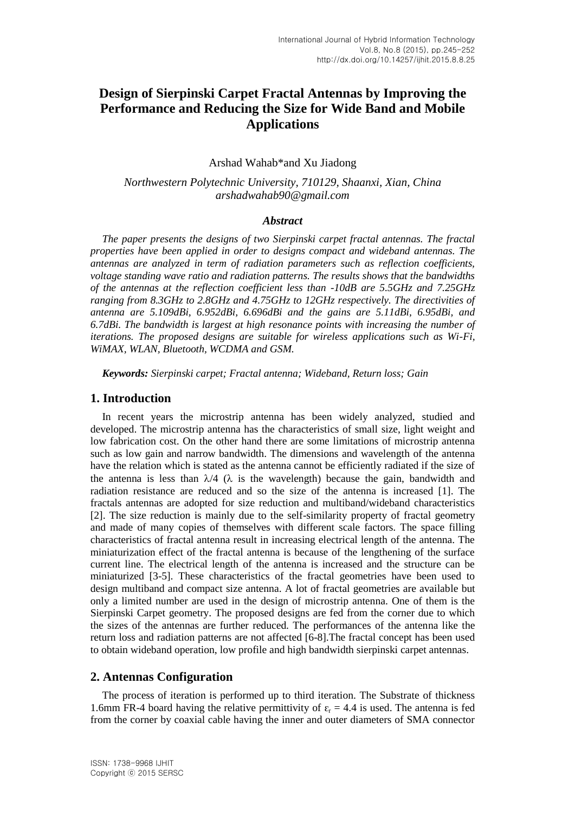# **Design of Sierpinski Carpet Fractal Antennas by Improving the Performance and Reducing the Size for Wide Band and Mobile Applications**

Arshad Wahab\*and Xu Jiadong

*Northwestern Polytechnic University, 710129, Shaanxi, Xian, China arshadwahab90@gmail.com*

#### *Abstract*

*The paper presents the designs of two Sierpinski carpet fractal antennas. The fractal properties have been applied in order to designs compact and wideband antennas. The antennas are analyzed in term of radiation parameters such as reflection coefficients, voltage standing wave ratio and radiation patterns. The results shows that the bandwidths of the antennas at the reflection coefficient less than -10dB are 5.5GHz and 7.25GHz ranging from 8.3GHz to 2.8GHz and 4.75GHz to 12GHz respectively. The directivities of antenna are 5.109dBi, 6.952dBi, 6.696dBi and the gains are 5.11dBi, 6.95dBi, and 6.7dBi. The bandwidth is largest at high resonance points with increasing the number of iterations. The proposed designs are suitable for wireless applications such as Wi-Fi, WiMAX, WLAN, Bluetooth, WCDMA and GSM.*

*Keywords: Sierpinski carpet; Fractal antenna; Wideband, Return loss; Gain*

#### **1. Introduction**

In recent years the microstrip antenna has been widely analyzed, studied and developed. The microstrip antenna has the characteristics of small size, light weight and low fabrication cost. On the other hand there are some limitations of microstrip antenna such as low gain and narrow bandwidth. The dimensions and wavelength of the antenna have the relation which is stated as the antenna cannot be efficiently radiated if the size of the antenna is less than  $\lambda/4$  ( $\lambda$  is the wavelength) because the gain, bandwidth and radiation resistance are reduced and so the size of the antenna is increased [1]. The fractals antennas are adopted for size reduction and multiband/wideband characteristics [2]. The size reduction is mainly due to the self-similarity property of fractal geometry and made of many copies of themselves with different scale factors. The space filling characteristics of fractal antenna result in increasing electrical length of the antenna. The miniaturization effect of the fractal antenna is because of the lengthening of the surface current line. The electrical length of the antenna is increased and the structure can be miniaturized [3-5]. These characteristics of the fractal geometries have been used to design multiband and compact size antenna. A lot of fractal geometries are available but only a limited number are used in the design of microstrip antenna. One of them is the Sierpinski Carpet geometry. The proposed designs are fed from the corner due to which the sizes of the antennas are further reduced. The performances of the antenna like the return loss and radiation patterns are not affected [6-8].The fractal concept has been used to obtain wideband operation, low profile and high bandwidth sierpinski carpet antennas.

# **2. Antennas Configuration**

The process of iteration is performed up to third iteration. The Substrate of thickness 1.6mm FR-4 board having the relative permittivity of  $\varepsilon_r = 4.4$  is used. The antenna is fed from the corner by coaxial cable having the inner and outer diameters of SMA connector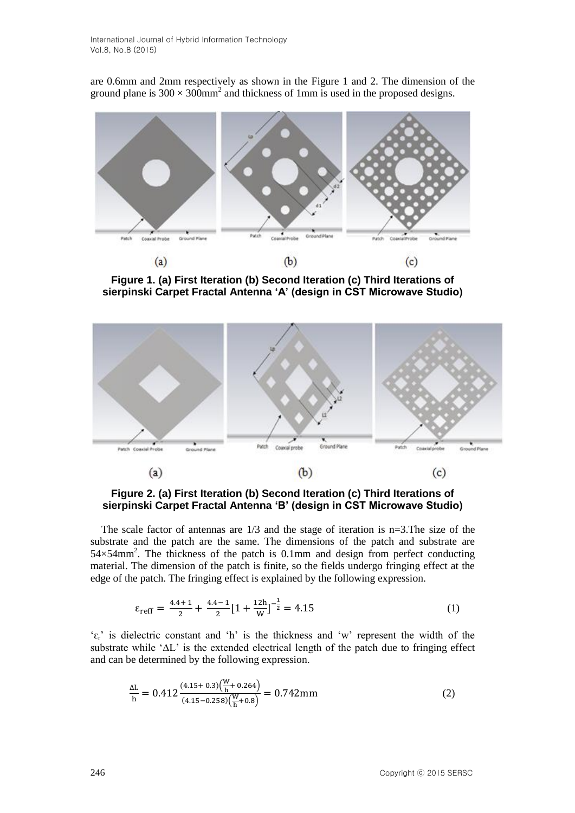are 0.6mm and 2mm respectively as shown in the Figure 1 and 2. The dimension of the ground plane is  $300 \times 300$ mm<sup>2</sup> and thickness of 1mm is used in the proposed designs.



**Figure 1. (a) First Iteration (b) Second Iteration (c) Third Iterations of sierpinski Carpet Fractal Antenna 'A' (design in CST Microwave Studio)**



**Figure 2. (a) First Iteration (b) Second Iteration (c) Third Iterations of sierpinski Carpet Fractal Antenna 'B' (design in CST Microwave Studio)**

The scale factor of antennas are 1/3 and the stage of iteration is n=3.The size of the substrate and the patch are the same. The dimensions of the patch and substrate are  $54\times54$ mm<sup>2</sup>. The thickness of the patch is 0.1mm and design from perfect conducting material. The dimension of the patch is finite, so the fields undergo fringing effect at the edge of the patch. The fringing effect is explained by the following expression.

$$
\varepsilon_{\text{reff}} = \frac{4.4 + 1}{2} + \frac{4.4 - 1}{2} \left[ 1 + \frac{12h}{W} \right]^{-\frac{1}{2}} = 4.15
$$
 (1)

' $\varepsilon_r$ ' is dielectric constant and 'h' is the thickness and 'w' represent the width of the substrate while '∆L' is the extended electrical length of the patch due to fringing effect and can be determined by the following expression.

$$
\frac{\Delta L}{h} = 0.412 \frac{(4.15 + 0.3)\left(\frac{W}{h} + 0.264\right)}{(4.15 - 0.258)\left(\frac{W}{h} + 0.8\right)} = 0.742 \text{mm}
$$
\n(2)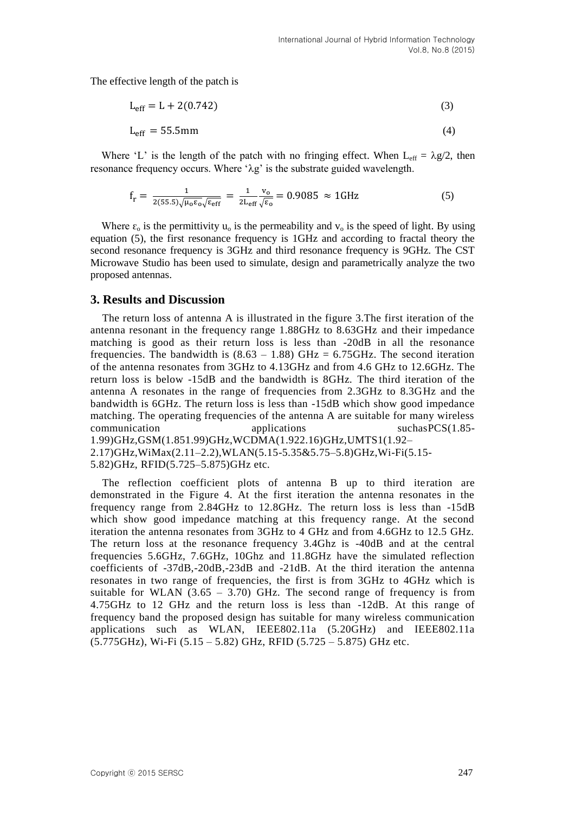The effective length of the patch is

$$
L_{eff} = L + 2(0.742)
$$
 (3)

$$
L_{\rm eff} = 55.5 \,\mathrm{mm} \tag{4}
$$

Where 'L' is the length of the patch with no fringing effect. When  $L_{eff} = \lambda g/2$ , then resonance frequency occurs. Where ' $\lambda$ g' is the substrate guided wavelength.

$$
f_r = \frac{1}{2(55.5)\sqrt{\mu_0 \epsilon_0} \sqrt{\epsilon_{eff}}} = \frac{1}{2L_{eff}} \frac{v_o}{\sqrt{\epsilon_0}} = 0.9085 \approx 1 \text{GHz}
$$
 (5)

Where  $\varepsilon_0$  is the permittivity  $u_0$  is the permeability and  $v_0$  is the speed of light. By using equation (5), the first resonance frequency is 1GHz and according to fractal theory the second resonance frequency is 3GHz and third resonance frequency is 9GHz. The CST Microwave Studio has been used to simulate, design and parametrically analyze the two proposed antennas.

#### **3. Results and Discussion**

The return loss of antenna A is illustrated in the figure 3.The first iteration of the antenna resonant in the frequency range 1.88GHz to 8.63GHz and their impedance matching is good as their return loss is less than -20dB in all the resonance frequencies. The bandwidth is  $(8.63 - 1.88)$  GHz = 6.75GHz. The second iteration of the antenna resonates from 3GHz to 4.13GHz and from 4.6 GHz to 12.6GHz. The return loss is below -15dB and the bandwidth is 8GHz. The third iteration of the antenna A resonates in the range of frequencies from 2.3GHz to 8.3GHz and the bandwidth is 6GHz. The return loss is less than -15dB which show good impedance matching. The operating frequencies of the antenna A are suitable for many wireless communication applications suchasPCS(1.85- 1.99)GHz,GSM(1.851.99)GHz,WCDMA(1.922.16)GHz,UMTS1(1.92– 2.17)GHz,WiMax(2.11–2.2),WLAN(5.15-5.35&5.75–5.8)GHz,Wi-Fi(5.15- 5.82)GHz, RFID(5.725–5.875)GHz etc.

The reflection coefficient plots of antenna B up to third iteration are demonstrated in the Figure 4. At the first iteration the antenna resonates in the frequency range from 2.84GHz to 12.8GHz. The return loss is less than -15dB which show good impedance matching at this frequency range. At the second iteration the antenna resonates from 3GHz to 4 GHz and from 4.6GHz to 12.5 GHz. The return loss at the resonance frequency 3.4Ghz is -40dB and at the central frequencies 5.6GHz, 7.6GHz, 10Ghz and 11.8GHz have the simulated reflection coefficients of -37dB,-20dB,-23dB and -21dB. At the third iteration the antenna resonates in two range of frequencies, the first is from 3GHz to 4GHz which is suitable for WLAN  $(3.65 - 3.70)$  GHz. The second range of frequency is from 4.75GHz to 12 GHz and the return loss is less than -12dB. At this range of frequency band the proposed design has suitable for many wireless communication applications such as WLAN, IEEE802.11a (5.20GHz) and IEEE802.11a (5.775GHz), Wi-Fi (5.15 – 5.82) GHz, RFID (5.725 – 5.875) GHz etc.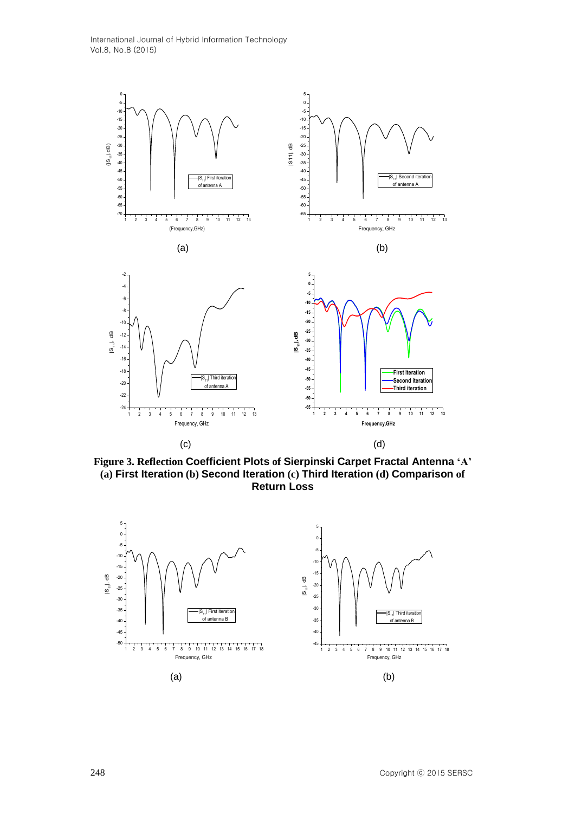

**Figure 3. Reflection Coefficient Plots of Sierpinski Carpet Fractal Antenna 'A' (a) First Iteration (b) Second Iteration (c) Third Iteration (d) Comparison of Return Loss**

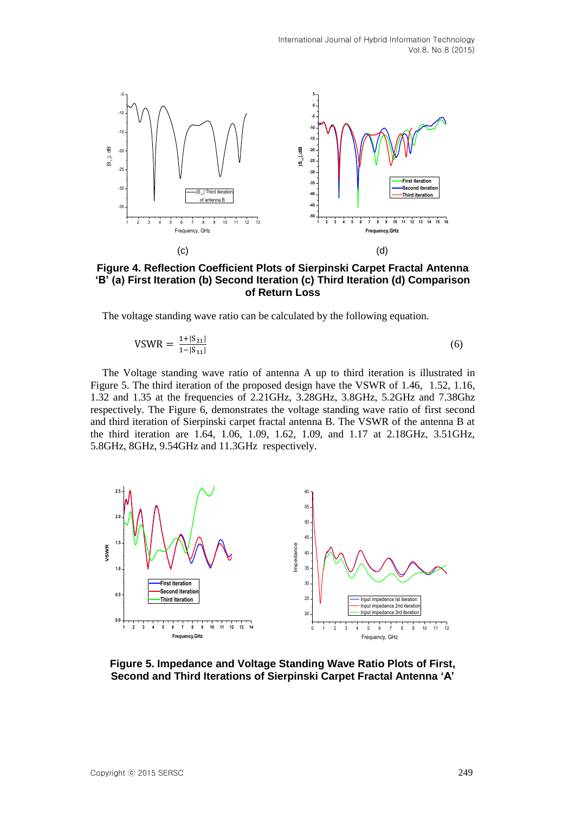

**Figure 4. Reflection Coefficient Plots of Sierpinski Carpet Fractal Antenna 'B' (a) First Iteration (b) Second Iteration (c) Third Iteration (d) Comparison of Return Loss**

The voltage standing wave ratio can be calculated by the following equation.

$$
VSWR = \frac{1 + |S_{11}|}{1 - |S_{11}|} \tag{6}
$$

The Voltage standing wave ratio of antenna A up to third iteration is illustrated in Figure 5. The third iteration of the proposed design have the VSWR of 1.46, 1.52, 1.16, 1.32 and 1.35 at the frequencies of 2.21GHz, 3.28GHz, 3.8GHz, 5.2GHz and 7.38Ghz respectively. The Figure 6, demonstrates the voltage standing wave ratio of first second and third iteration of Sierpinski carpet fractal antenna B. The VSWR of the antenna B at the third iteration are 1.64, 1.06, 1.09, 1.62, 1.09, and 1.17 at 2.18GHz, 3.51GHz, 5.8GHz, 8GHz, 9.54GHz and 11.3GHz respectively.



**Figure 5. Impedance and Voltage Standing Wave Ratio Plots of First, Second and Third Iterations of Sierpinski Carpet Fractal Antenna 'A'**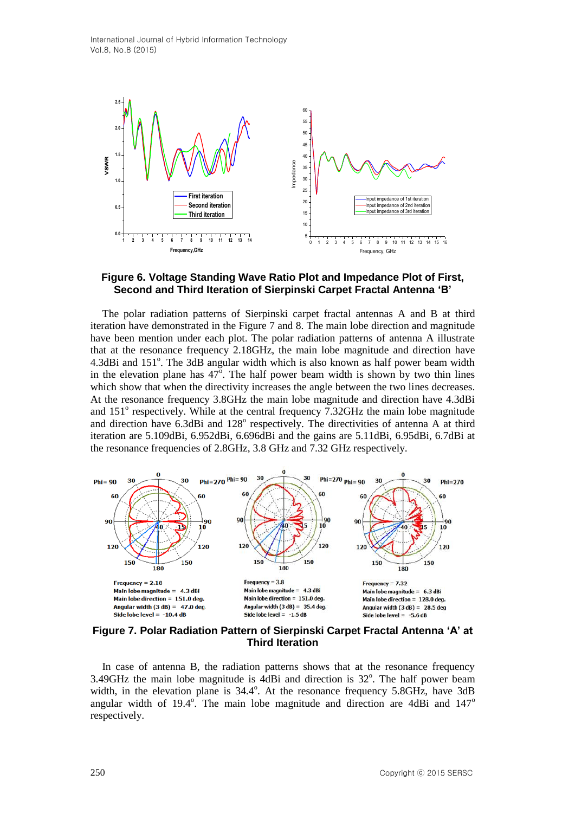

# **Figure 6. Voltage Standing Wave Ratio Plot and Impedance Plot of First, Second and Third Iteration of Sierpinski Carpet Fractal Antenna 'B'**

The polar radiation patterns of Sierpinski carpet fractal antennas A and B at third iteration have demonstrated in the Figure 7 and 8. The main lobe direction and magnitude have been mention under each plot. The polar radiation patterns of antenna A illustrate that at the resonance frequency 2.18GHz, the main lobe magnitude and direction have 4.3dBi and 151°. The 3dB angular width which is also known as half power beam width in the elevation plane has  $47^\circ$ . The half power beam width is shown by two thin lines which show that when the directivity increases the angle between the two lines decreases. At the resonance frequency 3.8GHz the main lobe magnitude and direction have 4.3dBi and  $151^\circ$  respectively. While at the central frequency  $7.32\text{GHz}$  the main lobe magnitude and direction have 6.3dBi and 128° respectively. The directivities of antenna A at third iteration are 5.109dBi, 6.952dBi, 6.696dBi and the gains are 5.11dBi, 6.95dBi, 6.7dBi at the resonance frequencies of 2.8GHz, 3.8 GHz and 7.32 GHz respectively.



**Figure 7. Polar Radiation Pattern of Sierpinski Carpet Fractal Antenna 'A' at Third Iteration**

In case of antenna B, the radiation patterns shows that at the resonance frequency 3.49GHz the main lobe magnitude is  $\widehat{4}$ dBi and direction is 32°. The half power beam width, in the elevation plane is  $34.4^{\circ}$ . At the resonance frequency  $5.8\text{GHz}$ , have  $3\text{dB}$ angular width of 19.4 $\degree$ . The main lobe magnitude and direction are 4dBi and 147 $\degree$ respectively.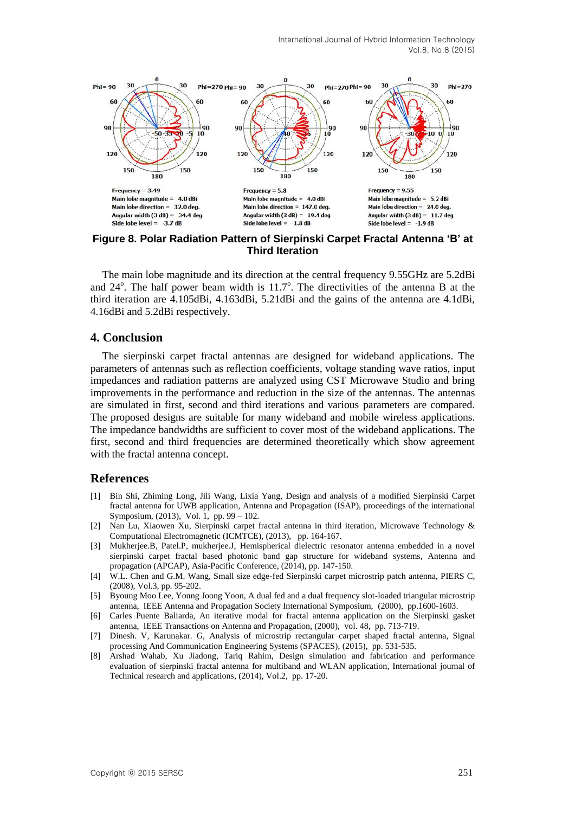International Journal of Hybrid Information Technology Vol.8, No.8 (2015)



**Figure 8. Polar Radiation Pattern of Sierpinski Carpet Fractal Antenna 'B' at Third Iteration**

The main lobe magnitude and its direction at the central frequency 9.55GHz are 5.2dBi and  $24^\circ$ . The half power beam width is  $11.7^\circ$ . The directivities of the antenna B at the third iteration are 4.105dBi, 4.163dBi, 5.21dBi and the gains of the antenna are 4.1dBi, 4.16dBi and 5.2dBi respectively.

# **4. Conclusion**

The sierpinski carpet fractal antennas are designed for wideband applications. The parameters of antennas such as reflection coefficients, voltage standing wave ratios, input impedances and radiation patterns are analyzed using CST Microwave Studio and bring improvements in the performance and reduction in the size of the antennas. The antennas are simulated in first, second and third iterations and various parameters are compared. The proposed designs are suitable for many wideband and mobile wireless applications. The impedance bandwidths are sufficient to cover most of the wideband applications. The first, second and third frequencies are determined theoretically which show agreement with the fractal antenna concept.

#### **References**

- [1] Bin Shi, Zhiming Long, Jili Wang, Lixia Yang, Design and analysis of a modified Sierpinski Carpet fractal antenna for UWB application, Antenna and Propagation (ISAP), proceedings of the international Symposium, (2013), Vol. 1, pp. 99 – 102.
- [2] Nan Lu, Xiaowen Xu, Sierpinski carpet fractal antenna in third iteration, Microwave Technology & Computational Electromagnetic (ICMTCE), (2013), pp. 164-167.
- [3] Mukherjee.B, Patel.P, mukherjee.J, Hemispherical dielectric resonator antenna embedded in a novel sierpinski carpet fractal based photonic band gap structure for wideband systems, Antenna and propagation (APCAP), Asia-Pacific Conference, (2014), pp. 147-150.
- [4] W.L. Chen and G.M. Wang, Small size edge-fed Sierpinski carpet microstrip patch antenna, PIERS C, (2008), Vol.3, pp. 95-202.
- [5] Byoung Moo Lee, Yonng Joong Yoon, A dual fed and a dual frequency slot-loaded triangular microstrip antenna, IEEE Antenna and Propagation Society International Symposium, (2000), pp.1600-1603.
- [6] Carles Puente Baliarda, An iterative modal for fractal antenna application on the Sierpinski gasket antenna, IEEE Transactions on Antenna and Propagation, (2000), vol. 48, pp. 713-719.
- [7] Dinesh. V, Karunakar. G, Analysis of microstrip rectangular carpet shaped fractal antenna, Signal processing And Communication Engineering Systems (SPACES), (2015), pp. 531-535.
- [8] Arshad Wahab, Xu Jiadong, Tariq Rahim, Design simulation and fabrication and performance evaluation of sierpinski fractal antenna for multiband and WLAN application, International journal of Technical research and applications, (2014), Vol.2, pp. 17-20.